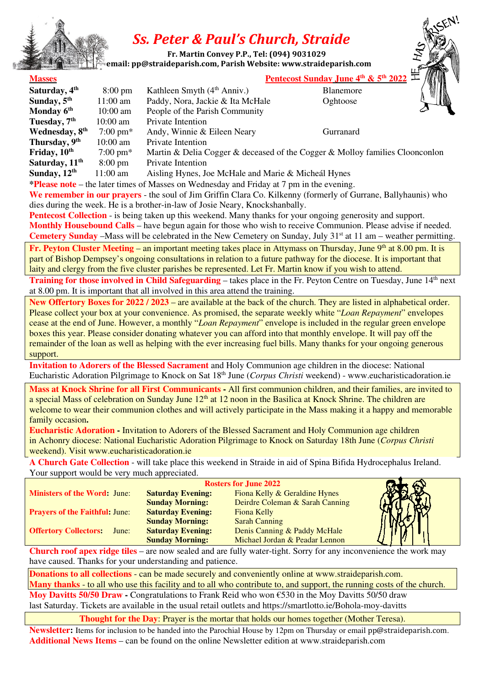

# *Ss. Peter & Paul's Church, Straide*

 **Fr. Martin Convey P.P., Tel: (094) 9031029** 

 **email: pp@straideparish.com, Parish Website: www.straideparish.com**

## **Masses** Pentecost Sunday June  $4^\text{th}$  &  $5^\text{th}$   $20$

| Saturday, 4 <sup>th</sup>  | $8:00 \text{ pm}$  | Kathleen Smyth $(4th Anniv.)$                                                | YIN<br>Blanemore |  |
|----------------------------|--------------------|------------------------------------------------------------------------------|------------------|--|
| Sunday, $5th$              | $11:00$ am         | Paddy, Nora, Jackie & Ita McHale                                             | Oghtoose         |  |
| Monday 6 <sup>th</sup>     | $10:00$ am         | People of the Parish Community                                               |                  |  |
| Tuesday, 7 <sup>th</sup>   | $10:00$ am         | Private Intention                                                            |                  |  |
| Wednesday, 8 <sup>th</sup> | $7:00 \text{ pm*}$ | Andy, Winnie & Eileen Neary                                                  | Gurranard        |  |
| Thursday, 9 <sup>th</sup>  | $10:00$ am         | Private Intention                                                            |                  |  |
| Friday, 10 <sup>th</sup>   | $7:00 \text{ pm*}$ | Martin & Delia Cogger & deceased of the Cogger & Molloy families Cloonconlon |                  |  |
| Saturday, 11 <sup>th</sup> | $8:00 \text{ pm}$  | Private Intention                                                            |                  |  |
| Sunday, $12th$             | $11:00 \text{ am}$ | Aisling Hynes, Joe McHale and Marie & Micheál Hynes                          |                  |  |

**\*Please note** – the later times of Masses on Wednesday and Friday at 7 pm in the evening.

**We remember in our prayers** - the soul of Jim Griffin Clara Co. Kilkenny (formerly of Gurrane, Ballyhaunis) who dies during the week. He is a brother-in-law of Josie Neary, Knockshanbally.

**Pentecost Collection** - is being taken up this weekend. Many thanks for your ongoing generosity and support. **Monthly Housebound Calls** – have begun again for those who wish to receive Communion. Please advise if needed. **Cemetery Sunday** –Mass will be celebrated in the New Cemetery on Sunday, July 31<sup>st</sup> at 11 am – weather permitting.

**Fr. Peyton Cluster Meeting** – an important meeting takes place in Attymass on Thursday, June 9<sup>th</sup> at 8.00 pm. It is part of Bishop Dempsey's ongoing consultations in relation to a future pathway for the diocese. It is important that laity and clergy from the five cluster parishes be represented. Let Fr. Martin know if you wish to attend.

**Training for those involved in Child Safeguarding** – takes place in the Fr. Peyton Centre on Tuesday, June 14<sup>th</sup> next at 8.00 pm. It is important that all involved in this area attend the training.

**New Offertory Boxes for 2022 / 2023** – are available at the back of the church. They are listed in alphabetical order. Please collect your box at your convenience. As promised, the separate weekly white "*Loan Repayment*" envelopes cease at the end of June. However, a monthly "*Loan Repayment*" envelope is included in the regular green envelope boxes this year. Please consider donating whatever you can afford into that monthly envelope. It will pay off the remainder of the loan as well as helping with the ever increasing fuel bills. Many thanks for your ongoing generous support.

**Invitation to Adorers of the Blessed Sacrament** and Holy Communion age children in the diocese: National Eucharistic Adoration Pilgrimage to Knock on Sat 18<sup>th</sup> June (*Corpus Christi* weekend) - www.eucharisticadoration.ie

**Mass at Knock Shrine for all First Communicants -** All first communion children, and their families, are invited to a special Mass of celebration on Sunday June 12<sup>th</sup> at 12 noon in the Basilica at Knock Shrine. The children are welcome to wear their communion clothes and will actively participate in the Mass making it a happy and memorable family occasion**.** 

**Eucharistic Adoration -** Invitation to Adorers of the Blessed Sacrament and Holy Communion age children in Achonry diocese: National Eucharistic Adoration Pilgrimage to Knock on Saturday 18th June (*Corpus Christi* weekend). Visit www.eucharisticadoration.ie

**A Church Gate Collection** - will take place this weekend in Straide in aid of Spina Bifida Hydrocephalus Ireland. Your support would be very much appreciated.

|                                       |                          | <b>Rosters for June 2022</b>    |  |
|---------------------------------------|--------------------------|---------------------------------|--|
| <b>Ministers of the Word: June:</b>   | <b>Saturday Evening:</b> | Fiona Kelly & Geraldine Hynes   |  |
|                                       | <b>Sunday Morning:</b>   | Deirdre Coleman & Sarah Canning |  |
| <b>Prayers of the Faithful: June:</b> | <b>Saturday Evening:</b> | Fiona Kelly                     |  |
|                                       | <b>Sunday Morning:</b>   | <b>Sarah Canning</b>            |  |
| <b>Offertory Collectors:</b><br>June: | <b>Saturday Evening:</b> | Denis Canning & Paddy McHale    |  |
|                                       | <b>Sunday Morning:</b>   | Michael Jordan & Peadar Lennon  |  |

**Church roof apex ridge tiles** – are now sealed and are fully water-tight. Sorry for any inconvenience the work may have caused. Thanks for your understanding and patience.

**Donations to all collections** - can be made securely and conveniently online at www.straideparish.com. **Many thanks** - to all who use this facility and to all who contribute to, and support, the running costs of the church. **Moy Davitts 50/50 Draw - Congratulations to Frank Reid who won**  $\epsilon$ **530 in the Moy Davitts 50/50 draw** last Saturday. Tickets are available in the usual retail outlets and https://smartlotto.ie/Bohola-moy-davitts

**Thought for the Day**: Prayer is the mortar that holds our homes together (Mother Teresa).

**Newsletter:** Items for inclusion to be handed into the Parochial House by 12pm on Thursday or email pp@straideparish.com. **Additional News Items** – can be found on the online Newsletter edition at www.straideparish.com

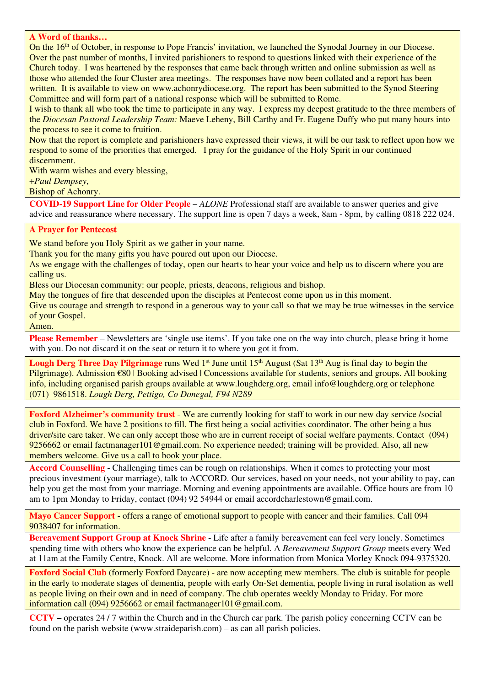#### **A Word of thanks…**

On the 16<sup>th</sup> of October, in response to Pope Francis' invitation, we launched the Synodal Journey in our Diocese. Over the past number of months, I invited parishioners to respond to questions linked with their experience of the Church today. I was heartened by the responses that came back through written and online submission as well as those who attended the four Cluster area meetings. The responses have now been collated and a report has been written. It is available to view on www.achonrydiocese.org. The report has been submitted to the Synod Steering Committee and will form part of a national response which will be submitted to Rome.

I wish to thank all who took the time to participate in any way. I express my deepest gratitude to the three members of the *Diocesan Pastoral Leadership Team:* Maeve Leheny, Bill Carthy and Fr. Eugene Duffy who put many hours into the process to see it come to fruition.

Now that the report is complete and parishioners have expressed their views, it will be our task to reflect upon how we respond to some of the priorities that emerged. I pray for the guidance of the Holy Spirit in our continued discernment.

With warm wishes and every blessing,

+*Paul Dempsey*,

Bishop of Achonry.

**COVID-19 Support Line for Older People** – *ALONE* Professional staff are available to answer queries and give advice and reassurance where necessary. The support line is open 7 days a week, 8am - 8pm, by calling 0818 222 024.

### **A Prayer for Pentecost**

We stand before you Holy Spirit as we gather in your name.

Thank you for the many gifts you have poured out upon our Diocese.

As we engage with the challenges of today, open our hearts to hear your voice and help us to discern where you are calling us.

Bless our Diocesan community: our people, priests, deacons, religious and bishop.

May the tongues of fire that descended upon the disciples at Pentecost come upon us in this moment.

Give us courage and strength to respond in a generous way to your call so that we may be true witnesses in the service of your Gospel.

#### Amen.

**Please Remember** – Newsletters are 'single use items'. If you take one on the way into church, please bring it home with you. Do not discard it on the seat or return it to where you got it from.

**Lough Derg Three Day Pilgrimage** runs Wed 1<sup>st</sup> June until 15<sup>th</sup> August (Sat 13<sup>th</sup> Aug is final day to begin the Pilgrimage). Admission €80 | Booking advised | Concessions available for students, seniors and groups. All booking info, including organised parish groups available at www.loughderg.org, email info@loughderg.org or telephone (071) 9861518. *Lough Derg, Pettigo, Co Donegal, F94 N289*

**Foxford Alzheimer's community trust** - We are currently looking for staff to work in our new day service /social club in Foxford. We have 2 positions to fill. The first being a social activities coordinator. The other being a bus driver/site care taker. We can only accept those who are in current receipt of social welfare payments. Contact (094) 9256662 or email factmanager101@gmail.com. No experience needed; training will be provided. Also, all new members welcome. Give us a call to book your place.

**Accord Counselling** - Challenging times can be rough on relationships. When it comes to protecting your most precious investment (your marriage), talk to ACCORD. Our services, based on your needs, not your ability to pay, can help you get the most from your marriage. Morning and evening appointments are available. Office hours are from 10 am to 1pm Monday to Friday, contact (094) 92 54944 or email accordcharlestown@gmail.com.

**Mayo Cancer Support** - offers a range of emotional support to people with cancer and their families. Call 094 9038407 for information.

**Bereavement Support Group at Knock Shrine** - Life after a family bereavement can feel very lonely. Sometimes spending time with others who know the experience can be helpful. A *Bereavement Support Group* meets every Wed at 11am at the Family Centre, Knock. All are welcome. More information from Monica Morley Knock 094-9375320.

**Foxford Social Club** (formerly Foxford Daycare) - are now accepting mew members. The club is suitable for people in the early to moderate stages of dementia, people with early On-Set dementia, people living in rural isolation as well as people living on their own and in need of company. The club operates weekly Monday to Friday. For more information call (094) 9256662 or email factmanager101@gmail.com.

**CCTV –** operates 24 / 7 within the Church and in the Church car park. The parish policy concerning CCTV can be found on the parish website (www.straideparish.com) – as can all parish policies.